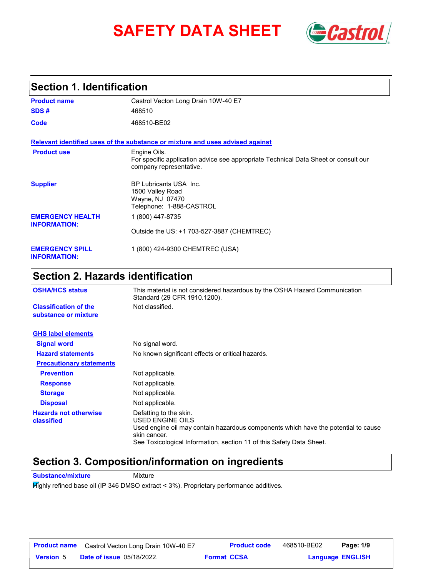# **SAFETY DATA SHEET** *Castrol*



# **Section 1. Identification**

| <b>Product name</b>                            | Castrol Vecton Long Drain 10W-40 E7                                                                                            |
|------------------------------------------------|--------------------------------------------------------------------------------------------------------------------------------|
| SDS#                                           | 468510                                                                                                                         |
| Code                                           | 468510-BE02                                                                                                                    |
|                                                | Relevant identified uses of the substance or mixture and uses advised against                                                  |
| <b>Product use</b>                             | Engine Oils.<br>For specific application advice see appropriate Technical Data Sheet or consult our<br>company representative. |
| <b>Supplier</b>                                | <b>BP Lubricants USA Inc.</b><br>1500 Valley Road<br>Wayne, NJ 07470<br>Telephone: 1-888-CASTROL                               |
| <b>EMERGENCY HEALTH</b><br><b>INFORMATION:</b> | 1 (800) 447-8735                                                                                                               |
|                                                | Outside the US: +1 703-527-3887 (CHEMTREC)                                                                                     |
| <b>EMERGENCY SPILL</b><br><b>INFORMATION:</b>  | 1 (800) 424-9300 CHEMTREC (USA)                                                                                                |

# **Section 2. Hazards identification**

| <b>OSHA/HCS status</b>                               | This material is not considered hazardous by the OSHA Hazard Communication<br>Standard (29 CFR 1910.1200).                                                                                                               |
|------------------------------------------------------|--------------------------------------------------------------------------------------------------------------------------------------------------------------------------------------------------------------------------|
| <b>Classification of the</b><br>substance or mixture | Not classified.                                                                                                                                                                                                          |
| <b>GHS label elements</b>                            |                                                                                                                                                                                                                          |
| <b>Signal word</b>                                   | No signal word.                                                                                                                                                                                                          |
| <b>Hazard statements</b>                             | No known significant effects or critical hazards.                                                                                                                                                                        |
| <b>Precautionary statements</b>                      |                                                                                                                                                                                                                          |
| <b>Prevention</b>                                    | Not applicable.                                                                                                                                                                                                          |
| <b>Response</b>                                      | Not applicable.                                                                                                                                                                                                          |
| <b>Storage</b>                                       | Not applicable.                                                                                                                                                                                                          |
| <b>Disposal</b>                                      | Not applicable.                                                                                                                                                                                                          |
| <b>Hazards not otherwise</b><br>classified           | Defatting to the skin.<br>USED ENGINE OILS<br>Used engine oil may contain hazardous components which have the potential to cause<br>skin cancer.<br>See Toxicological Information, section 11 of this Safety Data Sheet. |

### **Section 3. Composition/information on ingredients**

**Substance/mixture Mixture** 

Highly refined base oil (IP 346 DMSO extract < 3%). Proprietary performance additives.

| <b>Product name</b> | Castrol Vecton Long Drain 10W-40 E7 |                    | <b>Product code</b> | 468510-BE02 | Page: 1/9               |  |
|---------------------|-------------------------------------|--------------------|---------------------|-------------|-------------------------|--|
| <b>Version 5</b>    | <b>Date of issue 05/18/2022.</b>    | <b>Format CCSA</b> |                     |             | <b>Language ENGLISH</b> |  |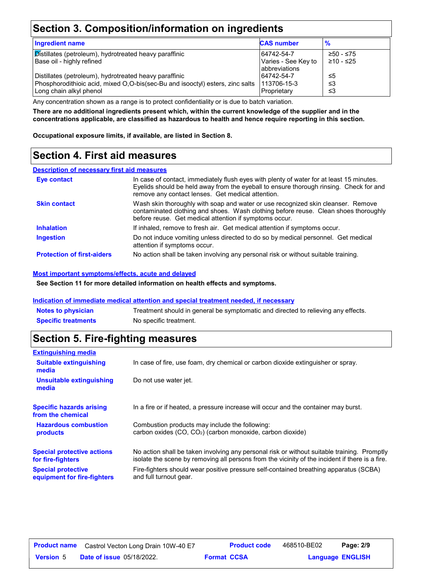# **Section 3. Composition/information on ingredients**

| <b>Ingredient name</b>                                                        | <b>CAS number</b>                    | $\frac{9}{6}$ |
|-------------------------------------------------------------------------------|--------------------------------------|---------------|
| Distillates (petroleum), hydrotreated heavy paraffinic                        | 64742-54-7                           | ≥50 - ≤75     |
| Base oil - highly refined                                                     | Varies - See Key to<br>abbreviations | ≥10 - ≤25     |
| Distillates (petroleum), hydrotreated heavy paraffinic                        | 64742-54-7                           | ≤5            |
| Phosphorodithioic acid, mixed O,O-bis(sec-Bu and isooctyl) esters, zinc salts | 113706-15-3                          | צ≥            |
| Long chain alkyl phenol                                                       | Proprietary                          | צ≥            |

Any concentration shown as a range is to protect confidentiality or is due to batch variation.

**There are no additional ingredients present which, within the current knowledge of the supplier and in the concentrations applicable, are classified as hazardous to health and hence require reporting in this section.**

**Occupational exposure limits, if available, are listed in Section 8.**

## **Section 4. First aid measures**

#### **Description of necessary first aid measures**

| Eye contact                       | In case of contact, immediately flush eyes with plenty of water for at least 15 minutes.<br>Eyelids should be held away from the eyeball to ensure thorough rinsing. Check for and<br>remove any contact lenses. Get medical attention. |
|-----------------------------------|-----------------------------------------------------------------------------------------------------------------------------------------------------------------------------------------------------------------------------------------|
| <b>Skin contact</b>               | Wash skin thoroughly with soap and water or use recognized skin cleanser. Remove<br>contaminated clothing and shoes. Wash clothing before reuse. Clean shoes thoroughly<br>before reuse. Get medical attention if symptoms occur.       |
| <b>Inhalation</b>                 | If inhaled, remove to fresh air. Get medical attention if symptoms occur.                                                                                                                                                               |
| <b>Ingestion</b>                  | Do not induce vomiting unless directed to do so by medical personnel. Get medical<br>attention if symptoms occur.                                                                                                                       |
| <b>Protection of first-aiders</b> | No action shall be taken involving any personal risk or without suitable training.                                                                                                                                                      |

#### **Most important symptoms/effects, acute and delayed**

**See Section 11 for more detailed information on health effects and symptoms.**

#### **Indication of immediate medical attention and special treatment needed, if necessary**

| <b>Notes to physician</b>  | Treatment should in general be symptomatic and directed to relieving any effects. |
|----------------------------|-----------------------------------------------------------------------------------|
| <b>Specific treatments</b> | No specific treatment.                                                            |

### **Section 5. Fire-fighting measures**

| <b>Extinguishing media</b>                               |                                                                                                                                                                                                |
|----------------------------------------------------------|------------------------------------------------------------------------------------------------------------------------------------------------------------------------------------------------|
| <b>Suitable extinguishing</b><br>media                   | In case of fire, use foam, dry chemical or carbon dioxide extinguisher or spray.                                                                                                               |
| Unsuitable extinguishing<br>media                        | Do not use water jet.                                                                                                                                                                          |
| <b>Specific hazards arising</b><br>from the chemical     | In a fire or if heated, a pressure increase will occur and the container may burst.                                                                                                            |
| <b>Hazardous combustion</b><br>products                  | Combustion products may include the following:<br>carbon oxides $(CO, CO2)$ (carbon monoxide, carbon dioxide)                                                                                  |
| <b>Special protective actions</b><br>for fire-fighters   | No action shall be taken involving any personal risk or without suitable training. Promptly<br>isolate the scene by removing all persons from the vicinity of the incident if there is a fire. |
| <b>Special protective</b><br>equipment for fire-fighters | Fire-fighters should wear positive pressure self-contained breathing apparatus (SCBA)<br>and full turnout gear.                                                                                |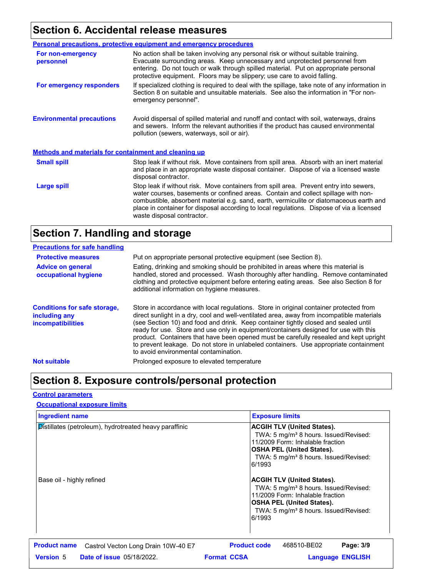# **Section 6. Accidental release measures**

|                                                              | <b>Personal precautions, protective equipment and emergency procedures</b>                                                                                                                                                                                                                                                                                                                         |  |
|--------------------------------------------------------------|----------------------------------------------------------------------------------------------------------------------------------------------------------------------------------------------------------------------------------------------------------------------------------------------------------------------------------------------------------------------------------------------------|--|
| For non-emergency<br>personnel                               | No action shall be taken involving any personal risk or without suitable training.<br>Evacuate surrounding areas. Keep unnecessary and unprotected personnel from<br>entering. Do not touch or walk through spilled material. Put on appropriate personal<br>protective equipment. Floors may be slippery; use care to avoid falling.                                                              |  |
| For emergency responders                                     | If specialized clothing is required to deal with the spillage, take note of any information in<br>Section 8 on suitable and unsuitable materials. See also the information in "For non-<br>emergency personnel".                                                                                                                                                                                   |  |
| <b>Environmental precautions</b>                             | Avoid dispersal of spilled material and runoff and contact with soil, waterways, drains<br>and sewers. Inform the relevant authorities if the product has caused environmental<br>pollution (sewers, waterways, soil or air).                                                                                                                                                                      |  |
| <b>Methods and materials for containment and cleaning up</b> |                                                                                                                                                                                                                                                                                                                                                                                                    |  |
| <b>Small spill</b>                                           | Stop leak if without risk. Move containers from spill area. Absorb with an inert material<br>and place in an appropriate waste disposal container. Dispose of via a licensed waste<br>disposal contractor.                                                                                                                                                                                         |  |
| Large spill                                                  | Stop leak if without risk. Move containers from spill area. Prevent entry into sewers,<br>water courses, basements or confined areas. Contain and collect spillage with non-<br>combustible, absorbent material e.g. sand, earth, vermiculite or diatomaceous earth and<br>place in container for disposal according to local regulations. Dispose of via a licensed<br>waste disposal contractor. |  |

# **Section 7. Handling and storage**

| <b>Precautions for safe handling</b>                                             |                                                                                                                                                                                                                                                                                                                                                                                                                                                                                                                                                                                               |
|----------------------------------------------------------------------------------|-----------------------------------------------------------------------------------------------------------------------------------------------------------------------------------------------------------------------------------------------------------------------------------------------------------------------------------------------------------------------------------------------------------------------------------------------------------------------------------------------------------------------------------------------------------------------------------------------|
| <b>Protective measures</b>                                                       | Put on appropriate personal protective equipment (see Section 8).                                                                                                                                                                                                                                                                                                                                                                                                                                                                                                                             |
| <b>Advice on general</b><br>occupational hygiene                                 | Eating, drinking and smoking should be prohibited in areas where this material is<br>handled, stored and processed. Wash thoroughly after handling. Remove contaminated<br>clothing and protective equipment before entering eating areas. See also Section 8 for<br>additional information on hygiene measures.                                                                                                                                                                                                                                                                              |
| <b>Conditions for safe storage,</b><br>including any<br><i>incompatibilities</i> | Store in accordance with local regulations. Store in original container protected from<br>direct sunlight in a dry, cool and well-ventilated area, away from incompatible materials<br>(see Section 10) and food and drink. Keep container tightly closed and sealed until<br>ready for use. Store and use only in equipment/containers designed for use with this<br>product. Containers that have been opened must be carefully resealed and kept upright<br>to prevent leakage. Do not store in unlabeled containers. Use appropriate containment<br>to avoid environmental contamination. |
| <b>Not suitable</b>                                                              | Prolonged exposure to elevated temperature                                                                                                                                                                                                                                                                                                                                                                                                                                                                                                                                                    |

# **Section 8. Exposure controls/personal protection**

### **Control parameters**

### **Occupational exposure limits**

| <b>Ingredient name</b>                                     | <b>Exposure limits</b>                                                                                                                                                                                                                                                                                                                                                                                                                                         |             |                         |
|------------------------------------------------------------|----------------------------------------------------------------------------------------------------------------------------------------------------------------------------------------------------------------------------------------------------------------------------------------------------------------------------------------------------------------------------------------------------------------------------------------------------------------|-------------|-------------------------|
| Distillates (petroleum), hydrotreated heavy paraffinic     | <b>ACGIH TLV (United States).</b><br>TWA: 5 mg/m <sup>3</sup> 8 hours. Issued/Revised:<br>11/2009 Form: Inhalable fraction<br><b>OSHA PEL (United States).</b><br>TWA: 5 mg/m <sup>3</sup> 8 hours. Issued/Revised:<br>6/1993<br><b>ACGIH TLV (United States).</b><br>TWA: 5 mg/m <sup>3</sup> 8 hours. Issued/Revised:<br>11/2009 Form: Inhalable fraction<br><b>OSHA PEL (United States).</b><br>TWA: 5 mg/m <sup>3</sup> 8 hours. Issued/Revised:<br>6/1993 |             |                         |
| Base oil - highly refined                                  |                                                                                                                                                                                                                                                                                                                                                                                                                                                                |             |                         |
| <b>Product name</b><br>Castrol Vecton Long Drain 10W-40 E7 | <b>Product code</b>                                                                                                                                                                                                                                                                                                                                                                                                                                            | 468510-BE02 | Page: 3/9               |
| <b>Version 5</b><br><b>Date of issue 05/18/2022.</b>       | <b>Format CCSA</b>                                                                                                                                                                                                                                                                                                                                                                                                                                             |             | <b>Language ENGLISH</b> |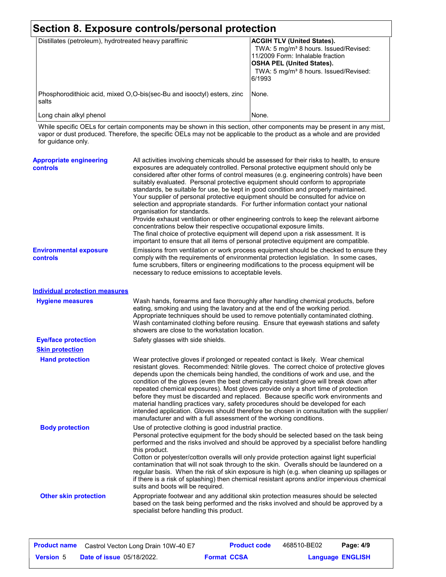| Distillates (petroleum), hydrotreated heavy paraffinic                           | <b>ACGIH TLV (United States).</b>                                                                                                                                                        |
|----------------------------------------------------------------------------------|------------------------------------------------------------------------------------------------------------------------------------------------------------------------------------------|
|                                                                                  | TWA: 5 mg/m <sup>3</sup> 8 hours. Issued/Revised:<br>11/2009 Form: Inhalable fraction<br><b>OSHA PEL (United States).</b><br>TWA: 5 mg/m <sup>3</sup> 8 hours. Issued/Revised:<br>6/1993 |
| Phosphorodithioic acid, mixed O,O-bis(sec-Bu and isooctyl) esters, zinc<br>salts | INone.                                                                                                                                                                                   |
| Long chain alkyl phenol                                                          | None.                                                                                                                                                                                    |

While specific OELs for certain components may be shown in this section, other components may be present in any mist, vapor or dust produced. Therefore, the specific OELs may not be applicable to the product as a whole and are provided for guidance only.

| <b>Appropriate engineering</b><br><b>controls</b> | All activities involving chemicals should be assessed for their risks to health, to ensure<br>exposures are adequately controlled. Personal protective equipment should only be<br>considered after other forms of control measures (e.g. engineering controls) have been<br>suitably evaluated. Personal protective equipment should conform to appropriate<br>standards, be suitable for use, be kept in good condition and properly maintained.<br>Your supplier of personal protective equipment should be consulted for advice on<br>selection and appropriate standards. For further information contact your national<br>organisation for standards.<br>Provide exhaust ventilation or other engineering controls to keep the relevant airborne<br>concentrations below their respective occupational exposure limits.<br>The final choice of protective equipment will depend upon a risk assessment. It is<br>important to ensure that all items of personal protective equipment are compatible. |
|---------------------------------------------------|------------------------------------------------------------------------------------------------------------------------------------------------------------------------------------------------------------------------------------------------------------------------------------------------------------------------------------------------------------------------------------------------------------------------------------------------------------------------------------------------------------------------------------------------------------------------------------------------------------------------------------------------------------------------------------------------------------------------------------------------------------------------------------------------------------------------------------------------------------------------------------------------------------------------------------------------------------------------------------------------------------|
| <b>Environmental exposure</b><br>controls         | Emissions from ventilation or work process equipment should be checked to ensure they<br>comply with the requirements of environmental protection legislation. In some cases,<br>fume scrubbers, filters or engineering modifications to the process equipment will be<br>necessary to reduce emissions to acceptable levels.                                                                                                                                                                                                                                                                                                                                                                                                                                                                                                                                                                                                                                                                              |
| <b>Individual protection measures</b>             |                                                                                                                                                                                                                                                                                                                                                                                                                                                                                                                                                                                                                                                                                                                                                                                                                                                                                                                                                                                                            |
| <b>Hygiene measures</b>                           | Wash hands, forearms and face thoroughly after handling chemical products, before<br>eating, smoking and using the lavatory and at the end of the working period.<br>Appropriate techniques should be used to remove potentially contaminated clothing.<br>Wash contaminated clothing before reusing. Ensure that eyewash stations and safety<br>showers are close to the workstation location.                                                                                                                                                                                                                                                                                                                                                                                                                                                                                                                                                                                                            |
| <b>Eye/face protection</b>                        | Safety glasses with side shields.                                                                                                                                                                                                                                                                                                                                                                                                                                                                                                                                                                                                                                                                                                                                                                                                                                                                                                                                                                          |
| <b>Skin protection</b>                            |                                                                                                                                                                                                                                                                                                                                                                                                                                                                                                                                                                                                                                                                                                                                                                                                                                                                                                                                                                                                            |
| <b>Hand protection</b>                            | Wear protective gloves if prolonged or repeated contact is likely. Wear chemical<br>resistant gloves. Recommended: Nitrile gloves. The correct choice of protective gloves<br>depends upon the chemicals being handled, the conditions of work and use, and the<br>condition of the gloves (even the best chemically resistant glove will break down after<br>repeated chemical exposures). Most gloves provide only a short time of protection<br>before they must be discarded and replaced. Because specific work environments and<br>material handling practices vary, safety procedures should be developed for each<br>intended application. Gloves should therefore be chosen in consultation with the supplier/<br>manufacturer and with a full assessment of the working conditions.                                                                                                                                                                                                              |
| <b>Body protection</b>                            | Use of protective clothing is good industrial practice.<br>Personal protective equipment for the body should be selected based on the task being<br>performed and the risks involved and should be approved by a specialist before handling<br>this product.<br>Cotton or polyester/cotton overalls will only provide protection against light superficial<br>contamination that will not soak through to the skin. Overalls should be laundered on a<br>regular basis. When the risk of skin exposure is high (e.g. when cleaning up spillages or<br>if there is a risk of splashing) then chemical resistant aprons and/or impervious chemical<br>suits and boots will be required.                                                                                                                                                                                                                                                                                                                      |
| <b>Other skin protection</b>                      | Appropriate footwear and any additional skin protection measures should be selected<br>based on the task being performed and the risks involved and should be approved by a<br>specialist before handling this product.                                                                                                                                                                                                                                                                                                                                                                                                                                                                                                                                                                                                                                                                                                                                                                                    |

|                  | <b>Product name</b> Castrol Vecton Long Drain 10W-40 E7 |                    | <b>Product code</b> | 468510-BE02             | Page: 4/9 |  |
|------------------|---------------------------------------------------------|--------------------|---------------------|-------------------------|-----------|--|
| <b>Version 5</b> | <b>Date of issue 05/18/2022.</b>                        | <b>Format CCSA</b> |                     | <b>Language ENGLISH</b> |           |  |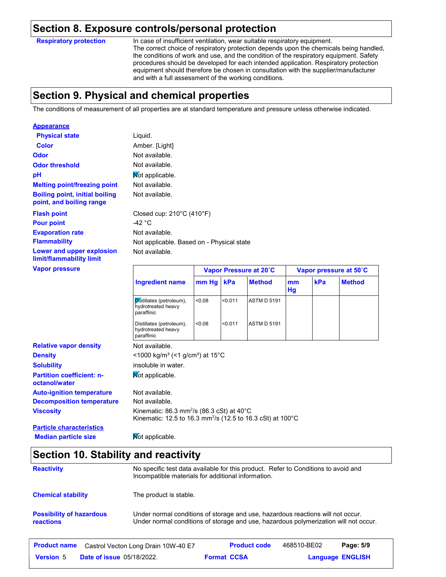### **Section 8. Exposure controls/personal protection**

**Respiratory protection**

**Appearance**

In case of insufficient ventilation, wear suitable respiratory equipment. The correct choice of respiratory protection depends upon the chemicals being handled, the conditions of work and use, and the condition of the respiratory equipment. Safety procedures should be developed for each intended application. Respiratory protection equipment should therefore be chosen in consultation with the supplier/manufacturer and with a full assessment of the working conditions.

### **Section 9. Physical and chemical properties**

The conditions of measurement of all properties are at standard temperature and pressure unless otherwise indicated.

| <b>Physical state</b>                                             | Liquid.                                                                                                                                   |       |                        |                    |          |                        |               |  |
|-------------------------------------------------------------------|-------------------------------------------------------------------------------------------------------------------------------------------|-------|------------------------|--------------------|----------|------------------------|---------------|--|
| <b>Color</b>                                                      | Amber. [Light]                                                                                                                            |       |                        |                    |          |                        |               |  |
| <b>Odor</b>                                                       | Not available.                                                                                                                            |       |                        |                    |          |                        |               |  |
| <b>Odor threshold</b>                                             | Not available.                                                                                                                            |       |                        |                    |          |                        |               |  |
| pH                                                                | Not applicable.                                                                                                                           |       |                        |                    |          |                        |               |  |
| <b>Melting point/freezing point</b>                               | Not available.                                                                                                                            |       |                        |                    |          |                        |               |  |
| <b>Boiling point, initial boiling</b><br>point, and boiling range | Not available.                                                                                                                            |       |                        |                    |          |                        |               |  |
| <b>Flash point</b>                                                | Closed cup: 210°C (410°F)                                                                                                                 |       |                        |                    |          |                        |               |  |
| <b>Pour point</b>                                                 | -42 $^{\circ}$ C                                                                                                                          |       |                        |                    |          |                        |               |  |
| <b>Evaporation rate</b>                                           | Not available.                                                                                                                            |       |                        |                    |          |                        |               |  |
| <b>Flammability</b>                                               | Not applicable. Based on - Physical state                                                                                                 |       |                        |                    |          |                        |               |  |
| Lower and upper explosion<br>limit/flammability limit             | Not available.                                                                                                                            |       |                        |                    |          |                        |               |  |
| <b>Vapor pressure</b>                                             |                                                                                                                                           |       | Vapor Pressure at 20°C |                    |          | Vapor pressure at 50°C |               |  |
|                                                                   | <b>Ingredient name</b>                                                                                                                    | mm Hg | kPa                    | <b>Method</b>      | mm<br>Hg | kPa                    | <b>Method</b> |  |
|                                                                   | Distillates (petroleum),<br>hydrotreated heavy<br>paraffinic                                                                              | <0.08 | < 0.011                | <b>ASTM D 5191</b> |          |                        |               |  |
|                                                                   | Distillates (petroleum),<br>hydrotreated heavy<br>paraffinic                                                                              | <0.08 | $0.011$                | <b>ASTM D 5191</b> |          |                        |               |  |
| <b>Relative vapor density</b>                                     | Not available.                                                                                                                            |       |                        |                    |          |                        |               |  |
| <b>Density</b>                                                    | $\leq$ 1000 kg/m <sup>3</sup> (<1 g/cm <sup>3</sup> ) at 15 <sup>°</sup> C                                                                |       |                        |                    |          |                        |               |  |
| <b>Solubility</b>                                                 | insoluble in water.                                                                                                                       |       |                        |                    |          |                        |               |  |
| <b>Partition coefficient: n-</b><br>octanol/water                 | Not applicable.                                                                                                                           |       |                        |                    |          |                        |               |  |
| <b>Auto-ignition temperature</b>                                  | Not available.                                                                                                                            |       |                        |                    |          |                        |               |  |
| <b>Decomposition temperature</b>                                  | Not available.                                                                                                                            |       |                        |                    |          |                        |               |  |
| <b>Viscosity</b>                                                  | Kinematic: 86.3 mm <sup>2</sup> /s (86.3 cSt) at $40^{\circ}$ C<br>Kinematic: 12.5 to 16.3 mm <sup>2</sup> /s (12.5 to 16.3 cSt) at 100°C |       |                        |                    |          |                        |               |  |

**Particle characteristics Median particle size** Not applicable.

### **Section 10. Stability and reactivity**

| <b>Reactivity</b>                            | No specific test data available for this product. Refer to Conditions to avoid and<br>Incompatible materials for additional information.                                |                     |             |           |  |
|----------------------------------------------|-------------------------------------------------------------------------------------------------------------------------------------------------------------------------|---------------------|-------------|-----------|--|
| <b>Chemical stability</b>                    | The product is stable.                                                                                                                                                  |                     |             |           |  |
| <b>Possibility of hazardous</b><br>reactions | Under normal conditions of storage and use, hazardous reactions will not occur.<br>Under normal conditions of storage and use, hazardous polymerization will not occur. |                     |             |           |  |
| <b>Product name</b>                          | Castrol Vecton Long Drain 10W-40 E7                                                                                                                                     | <b>Product code</b> | 468510-BE02 | Page: 5/9 |  |

**Date of issue** 05/18/2022. **Format CCSA Format CCSA Language ENGLIS** 

**Format CCSA** 

**Language ENGLISH**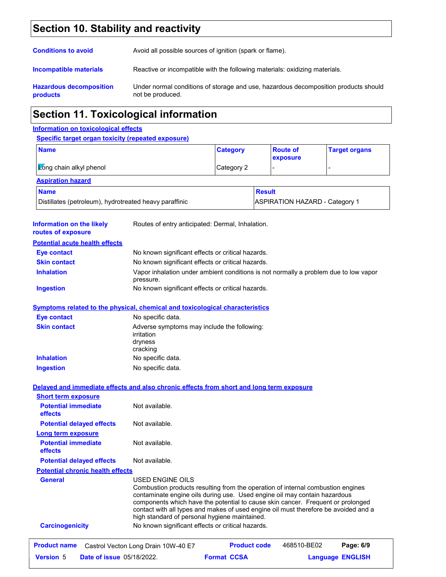# **Section 10. Stability and reactivity**

| <b>Conditions to avoid</b>                        | Avoid all possible sources of ignition (spark or flame).                                                |
|---------------------------------------------------|---------------------------------------------------------------------------------------------------------|
| Incompatible materials                            | Reactive or incompatible with the following materials: oxidizing materials.                             |
| <b>Hazardous decomposition</b><br><b>products</b> | Under normal conditions of storage and use, hazardous decomposition products should<br>not be produced. |

# **Section 11. Toxicological information**

### **Information on toxicological effects**

### **Specific target organ toxicity (repeated exposure)**

| <u>Opechic target organitoxicity (repeated exposure)</u> |                 |                                       |                      |
|----------------------------------------------------------|-----------------|---------------------------------------|----------------------|
| <b>Name</b>                                              | <b>Category</b> | <b>Route of</b><br>exposure           | <b>Target organs</b> |
| Kong chain alkyl phenol<br>Category 2                    |                 |                                       |                      |
| <b>Aspiration hazard</b>                                 |                 |                                       |                      |
| <b>Name</b>                                              |                 | <b>Result</b>                         |                      |
| Distillates (petroleum), hydrotreated heavy paraffinic   |                 | <b>ASPIRATION HAZARD - Category 1</b> |                      |

| <b>Information on the likely</b><br>routes of exposure              | Routes of entry anticipated: Dermal, Inhalation.                                                                                                                                                                                                                                                                                                                                                            |  |  |  |  |  |
|---------------------------------------------------------------------|-------------------------------------------------------------------------------------------------------------------------------------------------------------------------------------------------------------------------------------------------------------------------------------------------------------------------------------------------------------------------------------------------------------|--|--|--|--|--|
| <b>Potential acute health effects</b>                               |                                                                                                                                                                                                                                                                                                                                                                                                             |  |  |  |  |  |
| <b>Eye contact</b>                                                  | No known significant effects or critical hazards.                                                                                                                                                                                                                                                                                                                                                           |  |  |  |  |  |
| <b>Skin contact</b>                                                 | No known significant effects or critical hazards.                                                                                                                                                                                                                                                                                                                                                           |  |  |  |  |  |
| <b>Inhalation</b>                                                   | Vapor inhalation under ambient conditions is not normally a problem due to low vapor<br>pressure.                                                                                                                                                                                                                                                                                                           |  |  |  |  |  |
| <b>Ingestion</b>                                                    | No known significant effects or critical hazards.                                                                                                                                                                                                                                                                                                                                                           |  |  |  |  |  |
|                                                                     | <b>Symptoms related to the physical, chemical and toxicological characteristics</b>                                                                                                                                                                                                                                                                                                                         |  |  |  |  |  |
| <b>Eye contact</b>                                                  | No specific data.                                                                                                                                                                                                                                                                                                                                                                                           |  |  |  |  |  |
| <b>Skin contact</b>                                                 | Adverse symptoms may include the following:<br>irritation<br>dryness<br>cracking                                                                                                                                                                                                                                                                                                                            |  |  |  |  |  |
| <b>Inhalation</b>                                                   | No specific data.                                                                                                                                                                                                                                                                                                                                                                                           |  |  |  |  |  |
| <b>Ingestion</b>                                                    | No specific data.                                                                                                                                                                                                                                                                                                                                                                                           |  |  |  |  |  |
| <b>Short term exposure</b><br><b>Potential immediate</b><br>effects | Not available.                                                                                                                                                                                                                                                                                                                                                                                              |  |  |  |  |  |
| <b>Potential delayed effects</b>                                    | Not available.                                                                                                                                                                                                                                                                                                                                                                                              |  |  |  |  |  |
| Long term exposure                                                  |                                                                                                                                                                                                                                                                                                                                                                                                             |  |  |  |  |  |
| <b>Potential immediate</b><br>effects                               | Not available.                                                                                                                                                                                                                                                                                                                                                                                              |  |  |  |  |  |
| <b>Potential delayed effects</b>                                    | Not available.                                                                                                                                                                                                                                                                                                                                                                                              |  |  |  |  |  |
| <b>Potential chronic health effects</b>                             |                                                                                                                                                                                                                                                                                                                                                                                                             |  |  |  |  |  |
| <b>General</b>                                                      | USED ENGINE OILS<br>Combustion products resulting from the operation of internal combustion engines<br>contaminate engine oils during use. Used engine oil may contain hazardous<br>components which have the potential to cause skin cancer. Frequent or prolonged<br>contact with all types and makes of used engine oil must therefore be avoided and a<br>high standard of personal hygiene maintained. |  |  |  |  |  |
| <b>Carcinogenicity</b>                                              | No known significant effects or critical hazards.                                                                                                                                                                                                                                                                                                                                                           |  |  |  |  |  |
| <b>Product name</b>                                                 | <b>Product code</b><br>468510-BE02<br>Page: 6/9<br>Castrol Vecton Long Drain 10W-40 E7                                                                                                                                                                                                                                                                                                                      |  |  |  |  |  |
| <b>Version 5</b><br><b>Date of issue 05/18/2022.</b>                | <b>Format CCSA</b><br><b>Language ENGLISH</b>                                                                                                                                                                                                                                                                                                                                                               |  |  |  |  |  |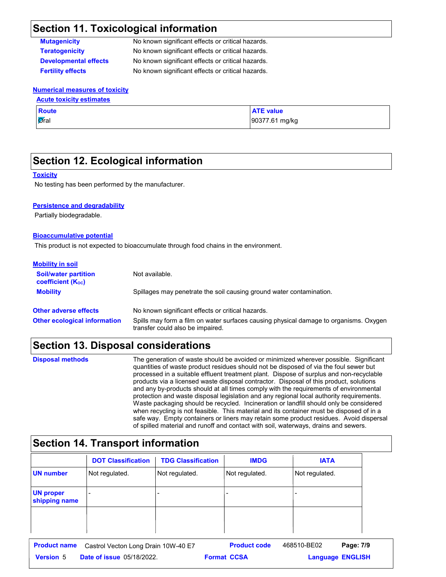### **Section 11. Toxicological information**

| <b>Mutagenicity</b>          | No known significant effects or critical hazards. |
|------------------------------|---------------------------------------------------|
| Teratogenicity               | No known significant effects or critical hazards. |
| <b>Developmental effects</b> | No known significant effects or critical hazards. |
| <b>Fertility effects</b>     | No known significant effects or critical hazards. |

#### **Numerical measures of toxicity Acute toxicity estimates**

| <b>ACULE IDAILITY COLLITATES</b> |                  |  |  |  |  |
|----------------------------------|------------------|--|--|--|--|
| <b>Route</b>                     | <b>ATE</b> value |  |  |  |  |
| Øral                             | 90377.61 mg/kg   |  |  |  |  |

### **Section 12. Ecological information**

#### **Toxicity**

No testing has been performed by the manufacturer.

#### **Persistence and degradability**

Partially biodegradable.

#### **Bioaccumulative potential**

This product is not expected to bioaccumulate through food chains in the environment.

| <b>Mobility in soil</b>                                 |                                                                                                                           |
|---------------------------------------------------------|---------------------------------------------------------------------------------------------------------------------------|
| <b>Soil/water partition</b><br><b>coefficient (Koc)</b> | Not available.                                                                                                            |
| <b>Mobility</b>                                         | Spillages may penetrate the soil causing ground water contamination.                                                      |
| <b>Other adverse effects</b>                            | No known significant effects or critical hazards.                                                                         |
| <b>Other ecological information</b>                     | Spills may form a film on water surfaces causing physical damage to organisms. Oxygen<br>transfer could also be impaired. |

### **Section 13. Disposal considerations**

The generation of waste should be avoided or minimized wherever possible. Significant quantities of waste product residues should not be disposed of via the foul sewer but processed in a suitable effluent treatment plant. Dispose of surplus and non-recyclable products via a licensed waste disposal contractor. Disposal of this product, solutions and any by-products should at all times comply with the requirements of environmental protection and waste disposal legislation and any regional local authority requirements. Waste packaging should be recycled. Incineration or landfill should only be considered when recycling is not feasible. This material and its container must be disposed of in a safe way. Empty containers or liners may retain some product residues. Avoid dispersal of spilled material and runoff and contact with soil, waterways, drains and sewers. **Disposal methods**

## **Section 14. Transport information**

|                                   | <b>DOT Classification</b>           | <b>TDG Classification</b> | <b>IMDG</b>         | <b>IATA</b>              |             |
|-----------------------------------|-------------------------------------|---------------------------|---------------------|--------------------------|-------------|
| <b>UN</b> number                  | Not regulated.                      | Not regulated.            | Not regulated.      | Not regulated.           |             |
| <b>UN proper</b><br>shipping name |                                     |                           | -                   | $\overline{\phantom{0}}$ |             |
|                                   |                                     |                           |                     |                          |             |
|                                   |                                     |                           |                     |                          |             |
| <b>Product name</b>               | Coetrol Vector Long Drain 10W 40 E7 |                           | <b>Product code</b> | 468510-BE02              | Page: $7/9$ |

| <b>Product name</b> | Castrol Vecton Long Drain 10W-40 E7 | <b>Product code</b> | 468510-BE02 | Page: 7/9               |  |
|---------------------|-------------------------------------|---------------------|-------------|-------------------------|--|
| <b>Version 5</b>    | <b>Date of issue 05/18/2022.</b>    | <b>Format CCSA</b>  |             | <b>Language ENGLISH</b> |  |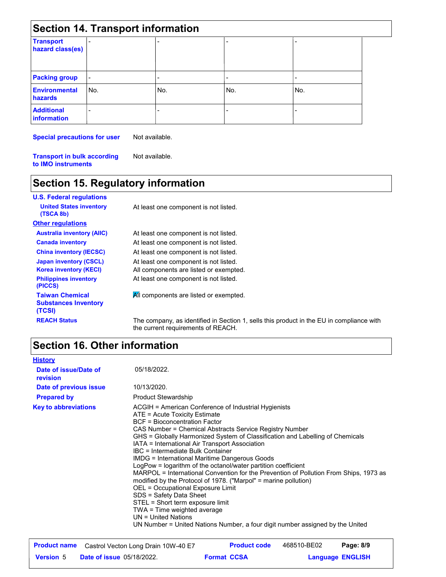| <b>Section 14. Transport information</b> |     |     |     |     |  |  |
|------------------------------------------|-----|-----|-----|-----|--|--|
| <b>Transport</b><br>hazard class(es)     |     |     |     |     |  |  |
| <b>Packing group</b>                     |     |     | ۰   |     |  |  |
| <b>Environmental</b><br>hazards          | No. | No. | No. | No. |  |  |
| <b>Additional</b><br><b>information</b>  |     |     |     |     |  |  |

**Special precautions for user**

Not available.

**Transport in bulk according to IMO instruments** Not available.

# **Section 15. Regulatory information**

| <b>U.S. Federal regulations</b>                                 |                                                                                                                                |
|-----------------------------------------------------------------|--------------------------------------------------------------------------------------------------------------------------------|
| <b>United States inventory</b><br>(TSCA 8b)                     | At least one component is not listed.                                                                                          |
| <b>Other regulations</b>                                        |                                                                                                                                |
| <b>Australia inventory (AIIC)</b>                               | At least one component is not listed.                                                                                          |
| <b>Canada inventory</b>                                         | At least one component is not listed.                                                                                          |
| <b>China inventory (IECSC)</b>                                  | At least one component is not listed.                                                                                          |
| <b>Japan inventory (CSCL)</b>                                   | At least one component is not listed.                                                                                          |
| <b>Korea inventory (KECI)</b>                                   | All components are listed or exempted.                                                                                         |
| <b>Philippines inventory</b><br>(PICCS)                         | At least one component is not listed.                                                                                          |
| <b>Taiwan Chemical</b><br><b>Substances Inventory</b><br>(TCSI) | All components are listed or exempted.                                                                                         |
| <b>REACH Status</b>                                             | The company, as identified in Section 1, sells this product in the EU in compliance with<br>the current requirements of REACH. |

# **Section 16. Other information**

| 05/18/2022.<br>Date of issue/Date of<br>revision<br>10/13/2020.<br>Date of previous issue<br><b>Product Stewardship</b><br><b>Prepared by</b><br><b>Key to abbreviations</b><br>ACGIH = American Conference of Industrial Hygienists<br>ATE = Acute Toxicity Estimate<br><b>BCF</b> = Bioconcentration Factor<br>CAS Number = Chemical Abstracts Service Registry Number<br>GHS = Globally Harmonized System of Classification and Labelling of Chemicals<br>IATA = International Air Transport Association<br>IBC = Intermediate Bulk Container<br>IMDG = International Maritime Dangerous Goods<br>LogPow = logarithm of the octanol/water partition coefficient<br>MARPOL = International Convention for the Prevention of Pollution From Ships, 1973 as<br>modified by the Protocol of 1978. ("Marpol" = marine pollution)<br>OEL = Occupational Exposure Limit<br>SDS = Safety Data Sheet<br>STEL = Short term exposure limit<br>TWA = Time weighted average<br>$UN = United Nations$<br>UN Number = United Nations Number, a four digit number assigned by the United | <b>History</b> |  |
|-----------------------------------------------------------------------------------------------------------------------------------------------------------------------------------------------------------------------------------------------------------------------------------------------------------------------------------------------------------------------------------------------------------------------------------------------------------------------------------------------------------------------------------------------------------------------------------------------------------------------------------------------------------------------------------------------------------------------------------------------------------------------------------------------------------------------------------------------------------------------------------------------------------------------------------------------------------------------------------------------------------------------------------------------------------------------------|----------------|--|
|                                                                                                                                                                                                                                                                                                                                                                                                                                                                                                                                                                                                                                                                                                                                                                                                                                                                                                                                                                                                                                                                             |                |  |
|                                                                                                                                                                                                                                                                                                                                                                                                                                                                                                                                                                                                                                                                                                                                                                                                                                                                                                                                                                                                                                                                             |                |  |
|                                                                                                                                                                                                                                                                                                                                                                                                                                                                                                                                                                                                                                                                                                                                                                                                                                                                                                                                                                                                                                                                             |                |  |
|                                                                                                                                                                                                                                                                                                                                                                                                                                                                                                                                                                                                                                                                                                                                                                                                                                                                                                                                                                                                                                                                             |                |  |

| <b>Product name</b> | Castrol Vecton Long Drain 10W-40 E7 |                    | <b>Product code</b> | 468510-BE02             | Page: 8/9 |  |
|---------------------|-------------------------------------|--------------------|---------------------|-------------------------|-----------|--|
| <b>Version 5</b>    | <b>Date of issue 05/18/2022.</b>    | <b>Format CCSA</b> |                     | <b>Language ENGLISH</b> |           |  |